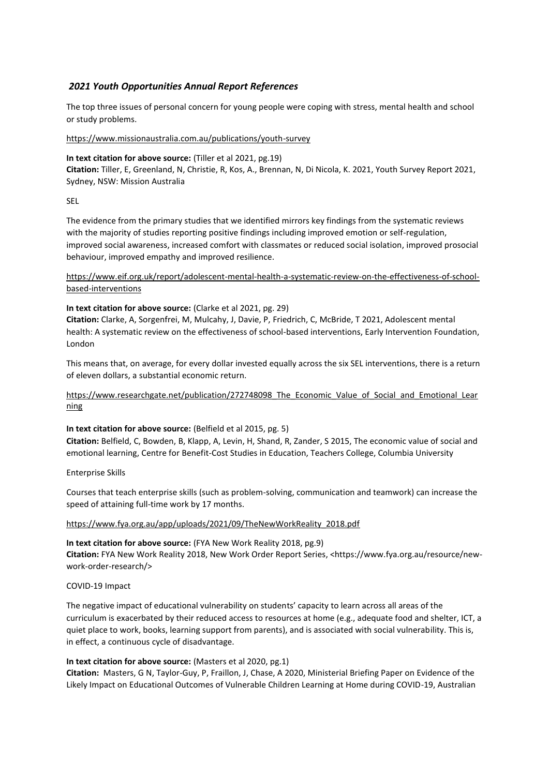# *2021 Youth Opportunities Annual Report References*

The top three issues of personal concern for young people were coping with stress, mental health and school or study problems.

### <https://www.missionaustralia.com.au/publications/youth-survey>

### **In text citation for above source:** (Tiller et al 2021, pg.19)

**Citation:** Tiller, E, Greenland, N, Christie, R, Kos, A., Brennan, N, Di Nicola, K. 2021, Youth Survey Report 2021, Sydney, NSW: Mission Australia

# SEL

The evidence from the primary studies that we identified mirrors key findings from the systematic reviews with the majority of studies reporting positive findings including improved emotion or self-regulation, improved social awareness, increased comfort with classmates or reduced social isolation, improved prosocial behaviour, improved empathy and improved resilience.

[https://www.eif.org.uk/report/adolescent-mental-health-a-systematic-review-on-the-effectiveness-of-school](https://www.eif.org.uk/report/adolescent-mental-health-a-systematic-review-on-the-effectiveness-of-school-based-interventions)[based-interventions](https://www.eif.org.uk/report/adolescent-mental-health-a-systematic-review-on-the-effectiveness-of-school-based-interventions)

### **In text citation for above source:** (Clarke et al 2021, pg. 29)

**Citation:** Clarke, A, Sorgenfrei, M, Mulcahy, J, Davie, P, Friedrich, C, McBride, T 2021, Adolescent mental health: A systematic review on the effectiveness of school-based interventions, Early Intervention Foundation, London

This means that, on average, for every dollar invested equally across the six SEL interventions, there is a return of eleven dollars, a substantial economic return.

[https://www.researchgate.net/publication/272748098\\_The\\_Economic\\_Value\\_of\\_Social\\_and\\_Emotional\\_Lear](https://www.researchgate.net/publication/272748098_The_Economic_Value_of_Social_and_Emotional_Learning) [ning](https://www.researchgate.net/publication/272748098_The_Economic_Value_of_Social_and_Emotional_Learning)

# **In text citation for above source:** (Belfield et al 2015, pg. 5)

**Citation:** Belfield, C, Bowden, B, Klapp, A, Levin, H, Shand, R, Zander, S 2015, The economic value of social and emotional learning, Centre for Benefit-Cost Studies in Education, Teachers College, Columbia University

#### Enterprise Skills

Courses that teach enterprise skills (such as problem-solving, communication and teamwork) can increase the speed of attaining full-time work by 17 months.

#### [https://www.fya.org.au/app/uploads/2021/09/TheNewWorkReality\\_2018.pdf](https://www.fya.org.au/app/uploads/2021/09/TheNewWorkReality_2018.pdf)

**In text citation for above source:** (FYA New Work Reality 2018, pg.9) **Citation:** FYA New Work Reality 2018, New Work Order Report Series, <https://www.fya.org.au/resource/newwork-order-research/>

# COVID-19 Impact

The negative impact of educational vulnerability on students' capacity to learn across all areas of the curriculum is exacerbated by their reduced access to resources at home (e.g., adequate food and shelter, ICT, a quiet place to work, books, learning support from parents), and is associated with social vulnerability. This is, in effect, a continuous cycle of disadvantage.

# **In text citation for above source:** (Masters et al 2020, pg.1)

**Citation:** Masters, G N, Taylor-Guy, P, Fraillon, J, Chase, A 2020, Ministerial Briefing Paper on Evidence of the Likely Impact on Educational Outcomes of Vulnerable Children Learning at Home during COVID-19, Australian